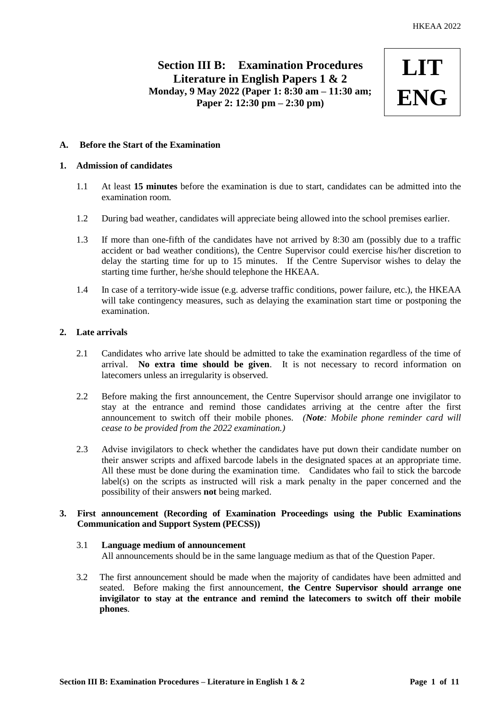# **Section III B: Examination Procedures Literature in English Papers 1 & 2 Monday, 9 May 2022 (Paper 1: 8:30 am – 11:30 am; Paper 2: 12:30 pm – 2:30 pm)**



# **A. Before the Start of the Examination**

# **1. Admission of candidates**

- 1.1 At least **15 minutes** before the examination is due to start, candidates can be admitted into the examination room.
- 1.2 During bad weather, candidates will appreciate being allowed into the school premises earlier.
- 1.3 If more than one-fifth of the candidates have not arrived by 8:30 am (possibly due to a traffic accident or bad weather conditions), the Centre Supervisor could exercise his/her discretion to delay the starting time for up to 15 minutes. If the Centre Supervisor wishes to delay the starting time further, he/she should telephone the HKEAA.
- 1.4 In case of a territory-wide issue (e.g. adverse traffic conditions, power failure, etc.), the HKEAA will take contingency measures, such as delaying the examination start time or postponing the examination.

# **2. Late arrivals**

- 2.1 Candidates who arrive late should be admitted to take the examination regardless of the time of arrival. **No extra time should be given**. It is not necessary to record information on latecomers unless an irregularity is observed.
- 2.2 Before making the first announcement, the Centre Supervisor should arrange one invigilator to stay at the entrance and remind those candidates arriving at the centre after the first announcement to switch off their mobile phones. *(Note: Mobile phone reminder card will cease to be provided from the 2022 examination.)*
- 2.3 Advise invigilators to check whether the candidates have put down their candidate number on their answer scripts and affixed barcode labels in the designated spaces at an appropriate time. All these must be done during the examination time. Candidates who fail to stick the barcode label(s) on the scripts as instructed will risk a mark penalty in the paper concerned and the possibility of their answers **not** being marked.

# **3. First announcement (Recording of Examination Proceedings using the Public Examinations Communication and Support System (PECSS))**

# 3.1 **Language medium of announcement** All announcements should be in the same language medium as that of the Question Paper.

3.2 The first announcement should be made when the majority of candidates have been admitted and seated. Before making the first announcement, **the Centre Supervisor should arrange one invigilator to stay at the entrance and remind the latecomers to switch off their mobile phones**.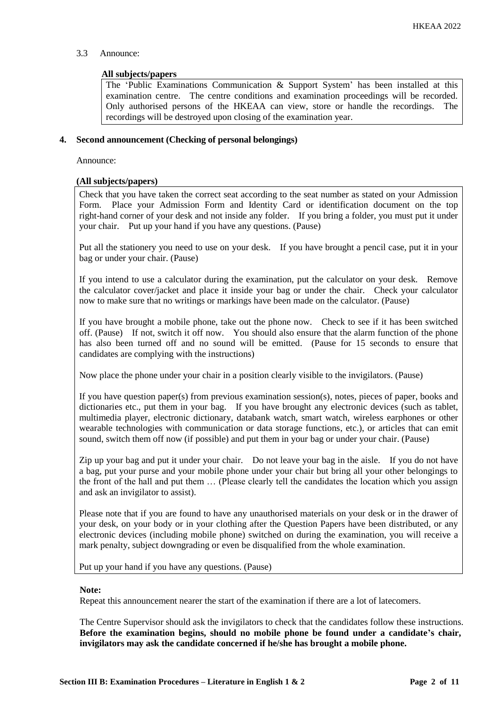# 3.3 Announce:

### **All subjects/papers**

The 'Public Examinations Communication & Support System' has been installed at this examination centre. The centre conditions and examination proceedings will be recorded. Only authorised persons of the HKEAA can view, store or handle the recordings. The recordings will be destroyed upon closing of the examination year.

### **4. Second announcement (Checking of personal belongings)**

Announce:

### **(All subjects/papers)**

Check that you have taken the correct seat according to the seat number as stated on your Admission Form. Place your Admission Form and Identity Card or identification document on the top right-hand corner of your desk and not inside any folder. If you bring a folder, you must put it under your chair. Put up your hand if you have any questions. (Pause)

Put all the stationery you need to use on your desk. If you have brought a pencil case, put it in your bag or under your chair. (Pause)

If you intend to use a calculator during the examination, put the calculator on your desk. Remove the calculator cover/jacket and place it inside your bag or under the chair. Check your calculator now to make sure that no writings or markings have been made on the calculator. (Pause)

If you have brought a mobile phone, take out the phone now. Check to see if it has been switched off. (Pause) If not, switch it off now. You should also ensure that the alarm function of the phone has also been turned off and no sound will be emitted. (Pause for 15 seconds to ensure that candidates are complying with the instructions)

Now place the phone under your chair in a position clearly visible to the invigilators. (Pause)

If you have question paper(s) from previous examination session(s), notes, pieces of paper, books and dictionaries etc., put them in your bag. If you have brought any electronic devices (such as tablet, multimedia player, electronic dictionary, databank watch, smart watch, wireless earphones or other wearable technologies with communication or data storage functions, etc.), or articles that can emit sound, switch them off now (if possible) and put them in your bag or under your chair. (Pause)

Zip up your bag and put it under your chair. Do not leave your bag in the aisle. If you do not have a bag, put your purse and your mobile phone under your chair but bring all your other belongings to the front of the hall and put them … (Please clearly tell the candidates the location which you assign and ask an invigilator to assist).

Please note that if you are found to have any unauthorised materials on your desk or in the drawer of your desk, on your body or in your clothing after the Question Papers have been distributed, or any electronic devices (including mobile phone) switched on during the examination, you will receive a mark penalty, subject downgrading or even be disqualified from the whole examination.

Put up your hand if you have any questions. (Pause)

#### **Note:**

Repeat this announcement nearer the start of the examination if there are a lot of latecomers.

The Centre Supervisor should ask the invigilators to check that the candidates follow these instructions. **Before the examination begins, should no mobile phone be found under a candidate's chair, invigilators may ask the candidate concerned if he/she has brought a mobile phone.**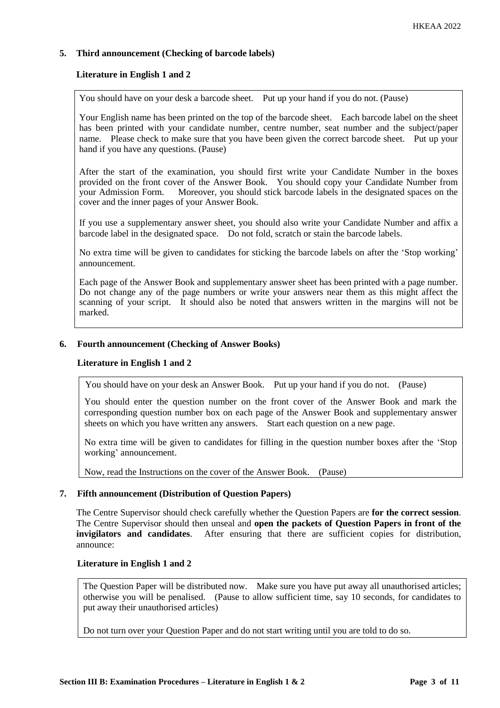# **5. Third announcement (Checking of barcode labels)**

# **Literature in English 1 and 2**

You should have on your desk a barcode sheet. Put up your hand if you do not. (Pause)

Your English name has been printed on the top of the barcode sheet. Each barcode label on the sheet has been printed with your candidate number, centre number, seat number and the subject/paper name. Please check to make sure that you have been given the correct barcode sheet. Put up your hand if you have any questions. (Pause)

After the start of the examination, you should first write your Candidate Number in the boxes provided on the front cover of the Answer Book. You should copy your Candidate Number from your Admission Form. Moreover, you should stick barcode labels in the designated spaces on the cover and the inner pages of your Answer Book.

If you use a supplementary answer sheet, you should also write your Candidate Number and affix a barcode label in the designated space. Do not fold, scratch or stain the barcode labels.

No extra time will be given to candidates for sticking the barcode labels on after the 'Stop working' announcement.

Each page of the Answer Book and supplementary answer sheet has been printed with a page number. Do not change any of the page numbers or write your answers near them as this might affect the scanning of your script. It should also be noted that answers written in the margins will not be marked.

# **6. Fourth announcement (Checking of Answer Books)**

#### **Literature in English 1 and 2**

You should have on your desk an Answer Book. Put up your hand if you do not. (Pause)

You should enter the question number on the front cover of the Answer Book and mark the corresponding question number box on each page of the Answer Book and supplementary answer sheets on which you have written any answers. Start each question on a new page.

No extra time will be given to candidates for filling in the question number boxes after the 'Stop working' announcement.

Now, read the Instructions on the cover of the Answer Book. (Pause)

# **7. Fifth announcement (Distribution of Question Papers)**

The Centre Supervisor should check carefully whether the Question Papers are **for the correct session**. The Centre Supervisor should then unseal and **open the packets of Question Papers in front of the invigilators and candidates**. After ensuring that there are sufficient copies for distribution, announce:

# **Literature in English 1 and 2**

The Question Paper will be distributed now. Make sure you have put away all unauthorised articles; otherwise you will be penalised. (Pause to allow sufficient time, say 10 seconds, for candidates to put away their unauthorised articles)

Do not turn over your Question Paper and do not start writing until you are told to do so.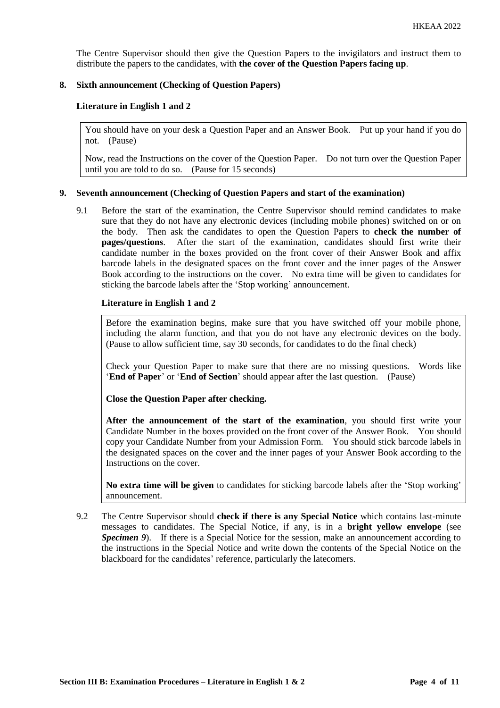The Centre Supervisor should then give the Question Papers to the invigilators and instruct them to distribute the papers to the candidates, with **the cover of the Question Papers facing up**.

### **8. Sixth announcement (Checking of Question Papers)**

### **Literature in English 1 and 2**

You should have on your desk a Question Paper and an Answer Book. Put up your hand if you do not. (Pause)

Now, read the Instructions on the cover of the Question Paper. Do not turn over the Question Paper until you are told to do so. (Pause for 15 seconds)

### **9. Seventh announcement (Checking of Question Papers and start of the examination)**

9.1 Before the start of the examination, the Centre Supervisor should remind candidates to make sure that they do not have any electronic devices (including mobile phones) switched on or on the body. Then ask the candidates to open the Question Papers to **check the number of pages/questions**. After the start of the examination, candidates should first write their candidate number in the boxes provided on the front cover of their Answer Book and affix barcode labels in the designated spaces on the front cover and the inner pages of the Answer Book according to the instructions on the cover. No extra time will be given to candidates for sticking the barcode labels after the 'Stop working' announcement.

### **Literature in English 1 and 2**

Before the examination begins, make sure that you have switched off your mobile phone, including the alarm function, and that you do not have any electronic devices on the body. (Pause to allow sufficient time, say 30 seconds, for candidates to do the final check)

Check your Question Paper to make sure that there are no missing questions. Words like '**End of Paper**' or '**End of Section**' should appear after the last question. (Pause)

**Close the Question Paper after checking.**

**After the announcement of the start of the examination**, you should first write your Candidate Number in the boxes provided on the front cover of the Answer Book. You should copy your Candidate Number from your Admission Form. You should stick barcode labels in the designated spaces on the cover and the inner pages of your Answer Book according to the Instructions on the cover.

**No extra time will be given** to candidates for sticking barcode labels after the 'Stop working' announcement.

9.2 The Centre Supervisor should **check if there is any Special Notice** which contains last-minute messages to candidates. The Special Notice, if any, is in a **bright yellow envelope** (see *Specimen 9*). If there is a Special Notice for the session, make an announcement according to the instructions in the Special Notice and write down the contents of the Special Notice on the blackboard for the candidates' reference, particularly the latecomers.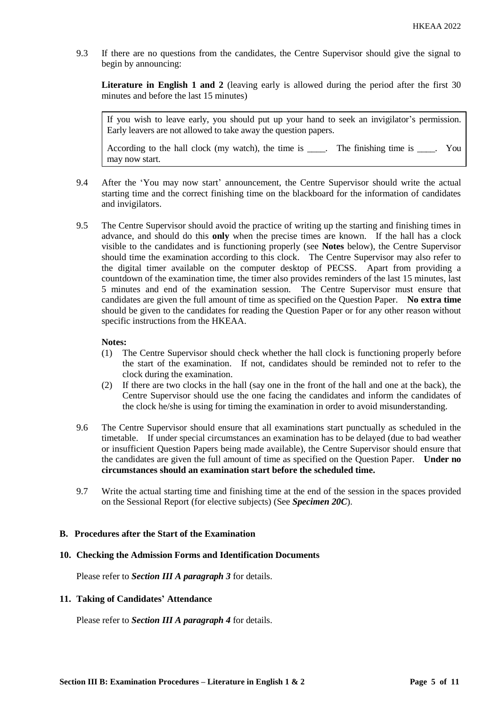9.3 If there are no questions from the candidates, the Centre Supervisor should give the signal to begin by announcing:

**Literature in English 1 and 2** (leaving early is allowed during the period after the first 30 minutes and before the last 15 minutes)

If you wish to leave early, you should put up your hand to seek an invigilator's permission. Early leavers are not allowed to take away the question papers.

According to the hall clock (my watch), the time is \_\_\_\_. The finishing time is \_\_\_\_. You may now start.

- 9.4 After the 'You may now start' announcement, the Centre Supervisor should write the actual starting time and the correct finishing time on the blackboard for the information of candidates and invigilators.
- 9.5 The Centre Supervisor should avoid the practice of writing up the starting and finishing times in advance, and should do this **only** when the precise times are known. If the hall has a clock visible to the candidates and is functioning properly (see **Notes** below), the Centre Supervisor should time the examination according to this clock. The Centre Supervisor may also refer to the digital timer available on the computer desktop of PECSS. Apart from providing a countdown of the examination time, the timer also provides reminders of the last 15 minutes, last 5 minutes and end of the examination session. The Centre Supervisor must ensure that candidates are given the full amount of time as specified on the Question Paper. **No extra time** should be given to the candidates for reading the Question Paper or for any other reason without specific instructions from the HKEAA.

#### **Notes:**

- (1) The Centre Supervisor should check whether the hall clock is functioning properly before the start of the examination. If not, candidates should be reminded not to refer to the clock during the examination.
- (2) If there are two clocks in the hall (say one in the front of the hall and one at the back), the Centre Supervisor should use the one facing the candidates and inform the candidates of the clock he/she is using for timing the examination in order to avoid misunderstanding.
- 9.6 The Centre Supervisor should ensure that all examinations start punctually as scheduled in the timetable. If under special circumstances an examination has to be delayed (due to bad weather or insufficient Question Papers being made available), the Centre Supervisor should ensure that the candidates are given the full amount of time as specified on the Question Paper. **Under no circumstances should an examination start before the scheduled time.**
- 9.7 Write the actual starting time and finishing time at the end of the session in the spaces provided on the Sessional Report (for elective subjects) (See *Specimen 20C*).

# **B. Procedures after the Start of the Examination**

#### **10. Checking the Admission Forms and Identification Documents**

Please refer to *Section III A paragraph 3* for details.

# **11. Taking of Candidates' Attendance**

Please refer to *Section III A paragraph 4* for details.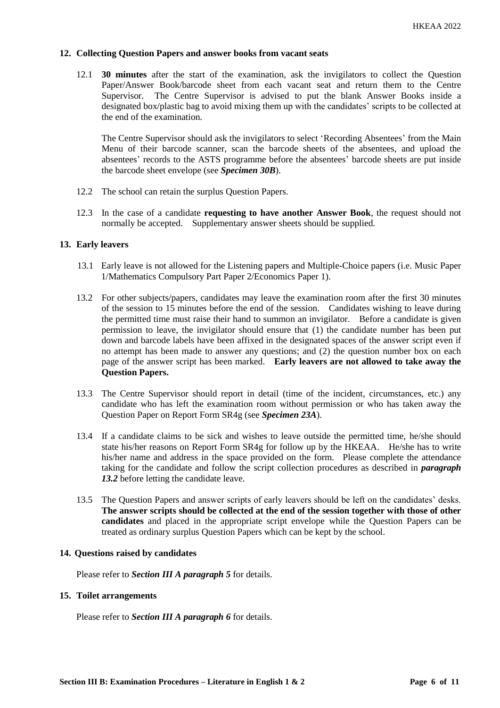### **12. Collecting Question Papers and answer books from vacant seats**

12.1 **30 minutes** after the start of the examination, ask the invigilators to collect the Question Paper/Answer Book/barcode sheet from each vacant seat and return them to the Centre Supervisor. The Centre Supervisor is advised to put the blank Answer Books inside a designated box/plastic bag to avoid mixing them up with the candidates' scripts to be collected at the end of the examination.

The Centre Supervisor should ask the invigilators to select 'Recording Absentees' from the Main Menu of their barcode scanner, scan the barcode sheets of the absentees, and upload the absentees' records to the ASTS programme before the absentees' barcode sheets are put inside the barcode sheet envelope (see *Specimen 30B*).

- 12.2 The school can retain the surplus Question Papers.
- 12.3 In the case of a candidate **requesting to have another Answer Book**, the request should not normally be accepted. Supplementary answer sheets should be supplied.

#### **13. Early leavers**

- 13.1 Early leave is not allowed for the Listening papers and Multiple-Choice papers (i.e. Music Paper 1/Mathematics Compulsory Part Paper 2/Economics Paper 1).
- 13.2 For other subjects/papers, candidates may leave the examination room after the first 30 minutes of the session to 15 minutes before the end of the session. Candidates wishing to leave during the permitted time must raise their hand to summon an invigilator. Before a candidate is given permission to leave, the invigilator should ensure that (1) the candidate number has been put down and barcode labels have been affixed in the designated spaces of the answer script even if no attempt has been made to answer any questions; and (2) the question number box on each page of the answer script has been marked. **Early leavers are not allowed to take away the Question Papers.**
- 13.3 The Centre Supervisor should report in detail (time of the incident, circumstances, etc.) any candidate who has left the examination room without permission or who has taken away the Question Paper on Report Form SR4g (see *Specimen 23A*).
- 13.4 If a candidate claims to be sick and wishes to leave outside the permitted time, he/she should state his/her reasons on Report Form SR4g for follow up by the HKEAA. He/she has to write his/her name and address in the space provided on the form. Please complete the attendance taking for the candidate and follow the script collection procedures as described in *paragraph 13.2* before letting the candidate leave.
- 13.5 The Question Papers and answer scripts of early leavers should be left on the candidates' desks. **The answer scripts should be collected at the end of the session together with those of other candidates** and placed in the appropriate script envelope while the Question Papers can be treated as ordinary surplus Question Papers which can be kept by the school.

#### **14. Questions raised by candidates**

Please refer to *Section III A paragraph 5* for details.

#### **15. Toilet arrangements**

Please refer to *Section III A paragraph 6* for details.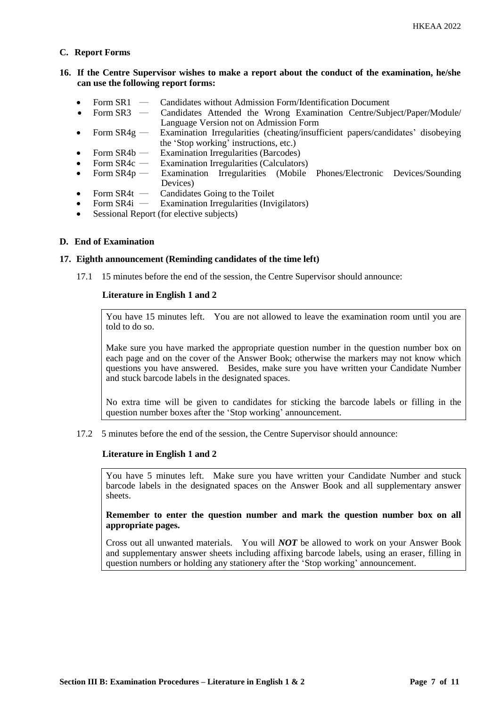### **C. Report Forms**

# **16. If the Centre Supervisor wishes to make a report about the conduct of the examination, he/she can use the following report forms:**

- Form SR1 Candidates without Admission Form/Identification Document
- Form SR3 ― Candidates Attended the Wrong Examination Centre/Subject/Paper/Module/ Language Version not on Admission Form
- Form SR4g Examination Irregularities (cheating/insufficient papers/candidates' disobeying the 'Stop working' instructions, etc.)
- Form SR4b ― Examination Irregularities (Barcodes)
- Form SR4c Examination Irregularities (Calculators)<br>Form SR4p Examination Irregularities (Mobile
- Form SR4p Examination Irregularities (Mobile Phones/Electronic Devices/Sounding Devices)
- Form SR4t Candidates Going to the Toilet<br>• Form SR4i Examination Irregularities (Invi
- Examination Irregularities (Invigilators)
- Sessional Report (for elective subjects)

### **D. End of Examination**

### **17. Eighth announcement (Reminding candidates of the time left)**

17.1 15 minutes before the end of the session, the Centre Supervisor should announce:

### **Literature in English 1 and 2**

You have 15 minutes left. You are not allowed to leave the examination room until you are told to do so.

Make sure you have marked the appropriate question number in the question number box on each page and on the cover of the Answer Book; otherwise the markers may not know which questions you have answered. Besides, make sure you have written your Candidate Number and stuck barcode labels in the designated spaces.

No extra time will be given to candidates for sticking the barcode labels or filling in the question number boxes after the 'Stop working' announcement.

17.2 5 minutes before the end of the session, the Centre Supervisor should announce:

# **Literature in English 1 and 2**

You have 5 minutes left. Make sure you have written your Candidate Number and stuck barcode labels in the designated spaces on the Answer Book and all supplementary answer sheets.

**Remember to enter the question number and mark the question number box on all appropriate pages.** 

Cross out all unwanted materials. You will *NOT* be allowed to work on your Answer Book and supplementary answer sheets including affixing barcode labels, using an eraser, filling in question numbers or holding any stationery after the 'Stop working' announcement.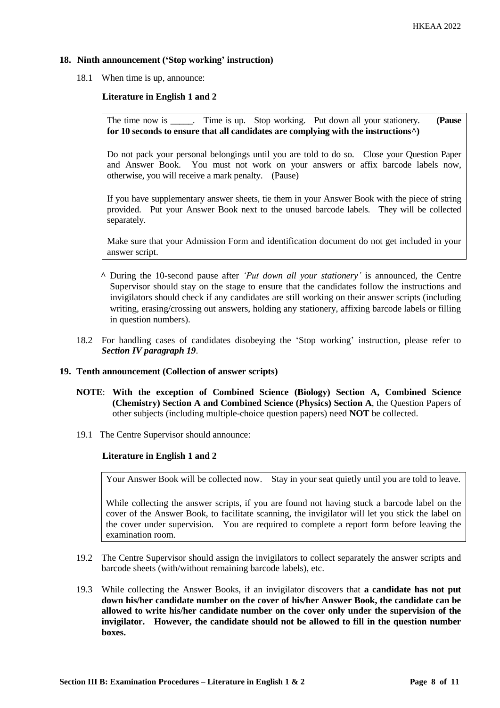# **18. Ninth announcement ('Stop working' instruction)**

18.1 When time is up, announce:

### **Literature in English 1 and 2**

The time now is \_\_\_\_\_. Time is up. Stop working. Put down all your stationery. **(Pause for 10 seconds to ensure that all candidates are complying with the instructions^)**

Do not pack your personal belongings until you are told to do so. Close your Question Paper and Answer Book. You must not work on your answers or affix barcode labels now, otherwise, you will receive a mark penalty. (Pause)

If you have supplementary answer sheets, tie them in your Answer Book with the piece of string provided. Put your Answer Book next to the unused barcode labels. They will be collected separately.

Make sure that your Admission Form and identification document do not get included in your answer script.

- **^** During the 10-second pause after *'Put down all your stationery'* is announced, the Centre Supervisor should stay on the stage to ensure that the candidates follow the instructions and invigilators should check if any candidates are still working on their answer scripts (including writing, erasing/crossing out answers, holding any stationery, affixing barcode labels or filling in question numbers).
- 18.2 For handling cases of candidates disobeying the 'Stop working' instruction, please refer to *Section IV paragraph 19*.

#### **19. Tenth announcement (Collection of answer scripts)**

- **NOTE**: **With the exception of Combined Science (Biology) Section A, Combined Science (Chemistry) Section A and Combined Science (Physics) Section A**, the Question Papers of other subjects (including multiple-choice question papers) need **NOT** be collected.
- 19.1 The Centre Supervisor should announce:

# **Literature in English 1 and 2**

Your Answer Book will be collected now. Stay in your seat quietly until you are told to leave.

While collecting the answer scripts, if you are found not having stuck a barcode label on the cover of the Answer Book, to facilitate scanning, the invigilator will let you stick the label on the cover under supervision. You are required to complete a report form before leaving the examination room.

- 19.2 The Centre Supervisor should assign the invigilators to collect separately the answer scripts and barcode sheets (with/without remaining barcode labels), etc.
- 19.3 While collecting the Answer Books, if an invigilator discovers that **a candidate has not put down his/her candidate number on the cover of his/her Answer Book, the candidate can be allowed to write his/her candidate number on the cover only under the supervision of the invigilator. However, the candidate should not be allowed to fill in the question number boxes.**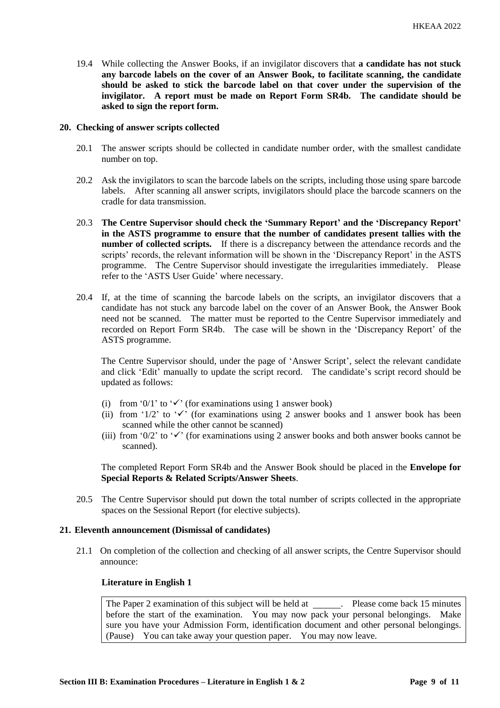19.4 While collecting the Answer Books, if an invigilator discovers that **a candidate has not stuck any barcode labels on the cover of an Answer Book, to facilitate scanning, the candidate should be asked to stick the barcode label on that cover under the supervision of the invigilator. A report must be made on Report Form SR4b. The candidate should be asked to sign the report form.** 

### **20. Checking of answer scripts collected**

- 20.1 The answer scripts should be collected in candidate number order, with the smallest candidate number on top.
- 20.2 Ask the invigilators to scan the barcode labels on the scripts, including those using spare barcode labels. After scanning all answer scripts, invigilators should place the barcode scanners on the cradle for data transmission.
- 20.3 **The Centre Supervisor should check the 'Summary Report' and the 'Discrepancy Report' in the ASTS programme to ensure that the number of candidates present tallies with the number of collected scripts.** If there is a discrepancy between the attendance records and the scripts' records, the relevant information will be shown in the 'Discrepancy Report' in the ASTS programme. The Centre Supervisor should investigate the irregularities immediately. Please refer to the 'ASTS User Guide' where necessary.
- 20.4 If, at the time of scanning the barcode labels on the scripts, an invigilator discovers that a candidate has not stuck any barcode label on the cover of an Answer Book, the Answer Book need not be scanned. The matter must be reported to the Centre Supervisor immediately and recorded on Report Form SR4b. The case will be shown in the 'Discrepancy Report' of the ASTS programme.

The Centre Supervisor should, under the page of 'Answer Script', select the relevant candidate and click 'Edit' manually to update the script record. The candidate's script record should be updated as follows:

- (i) from '0/1' to ' $\checkmark$ ' (for examinations using 1 answer book)
- (ii) from '1/2' to ' $\checkmark$ ' (for examinations using 2 answer books and 1 answer book has been scanned while the other cannot be scanned)
- (iii) from '0/2' to ' $\checkmark$ ' (for examinations using 2 answer books and both answer books cannot be scanned).

The completed Report Form SR4b and the Answer Book should be placed in the **Envelope for Special Reports & Related Scripts/Answer Sheets**.

20.5 The Centre Supervisor should put down the total number of scripts collected in the appropriate spaces on the Sessional Report (for elective subjects).

#### **21. Eleventh announcement (Dismissal of candidates)**

21.1 On completion of the collection and checking of all answer scripts, the Centre Supervisor should announce:

#### **Literature in English 1**

The Paper 2 examination of this subject will be held at . Please come back 15 minutes before the start of the examination. You may now pack your personal belongings. Make sure you have your Admission Form, identification document and other personal belongings. (Pause) You can take away your question paper. You may now leave.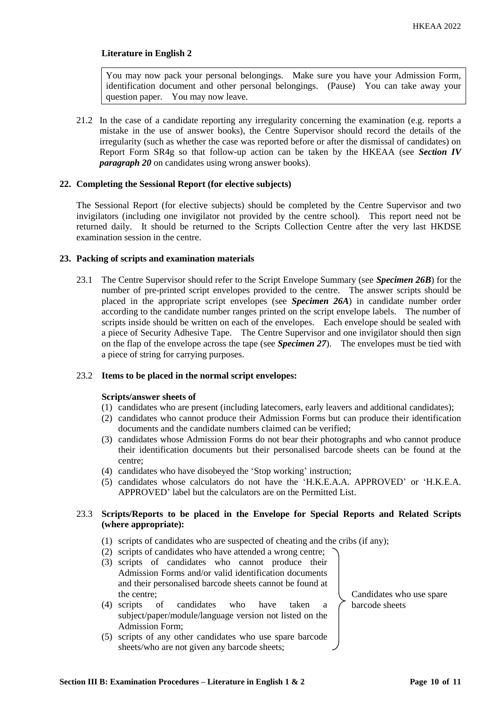# **Literature in English 2**

You may now pack your personal belongings. Make sure you have your Admission Form, identification document and other personal belongings. (Pause) You can take away your question paper. You may now leave.

21.2 In the case of a candidate reporting any irregularity concerning the examination (e.g. reports a mistake in the use of answer books), the Centre Supervisor should record the details of the irregularity (such as whether the case was reported before or after the dismissal of candidates) on Report Form SR4g so that follow-up action can be taken by the HKEAA (see *Section IV paragraph 20* on candidates using wrong answer books).

### **22. Completing the Sessional Report (for elective subjects)**

The Sessional Report (for elective subjects) should be completed by the Centre Supervisor and two invigilators (including one invigilator not provided by the centre school). This report need not be returned daily. It should be returned to the Scripts Collection Centre after the very last HKDSE examination session in the centre.

### **23. Packing of scripts and examination materials**

23.1 The Centre Supervisor should refer to the Script Envelope Summary (see *Specimen 26B*) for the number of pre-printed script envelopes provided to the centre. The answer scripts should be placed in the appropriate script envelopes (see *Specimen 26A*) in candidate number order according to the candidate number ranges printed on the script envelope labels. The number of scripts inside should be written on each of the envelopes. Each envelope should be sealed with a piece of Security Adhesive Tape. The Centre Supervisor and one invigilator should then sign on the flap of the envelope across the tape (see *Specimen 27*). The envelopes must be tied with a piece of string for carrying purposes.

#### 23.2 **Items to be placed in the normal script envelopes:**

#### **Scripts/answer sheets of**

- (1) candidates who are present (including latecomers, early leavers and additional candidates);
- (2) candidates who cannot produce their Admission Forms but can produce their identification documents and the candidate numbers claimed can be verified;
- (3) candidates whose Admission Forms do not bear their photographs and who cannot produce their identification documents but their personalised barcode sheets can be found at the centre;
- (4) candidates who have disobeyed the 'Stop working' instruction;
- (5) candidates whose calculators do not have the 'H.K.E.A.A. APPROVED' or 'H.K.E.A. APPROVED' label but the calculators are on the Permitted List.

# 23.3 **Scripts/Reports to be placed in the Envelope for Special Reports and Related Scripts (where appropriate):**

- (1) scripts of candidates who are suspected of cheating and the cribs (if any);
- (2) scripts of candidates who have attended a wrong centre;
- (3) scripts of candidates who cannot produce their Admission Forms and/or valid identification documents and their personalised barcode sheets cannot be found at the centre;
- (4) scripts of candidates who have taken a subject/paper/module/language version not listed on the Admission Form;
- (5) scripts of any other candidates who use spare barcode sheets/who are not given any barcode sheets;

Candidates who use spare barcode sheets